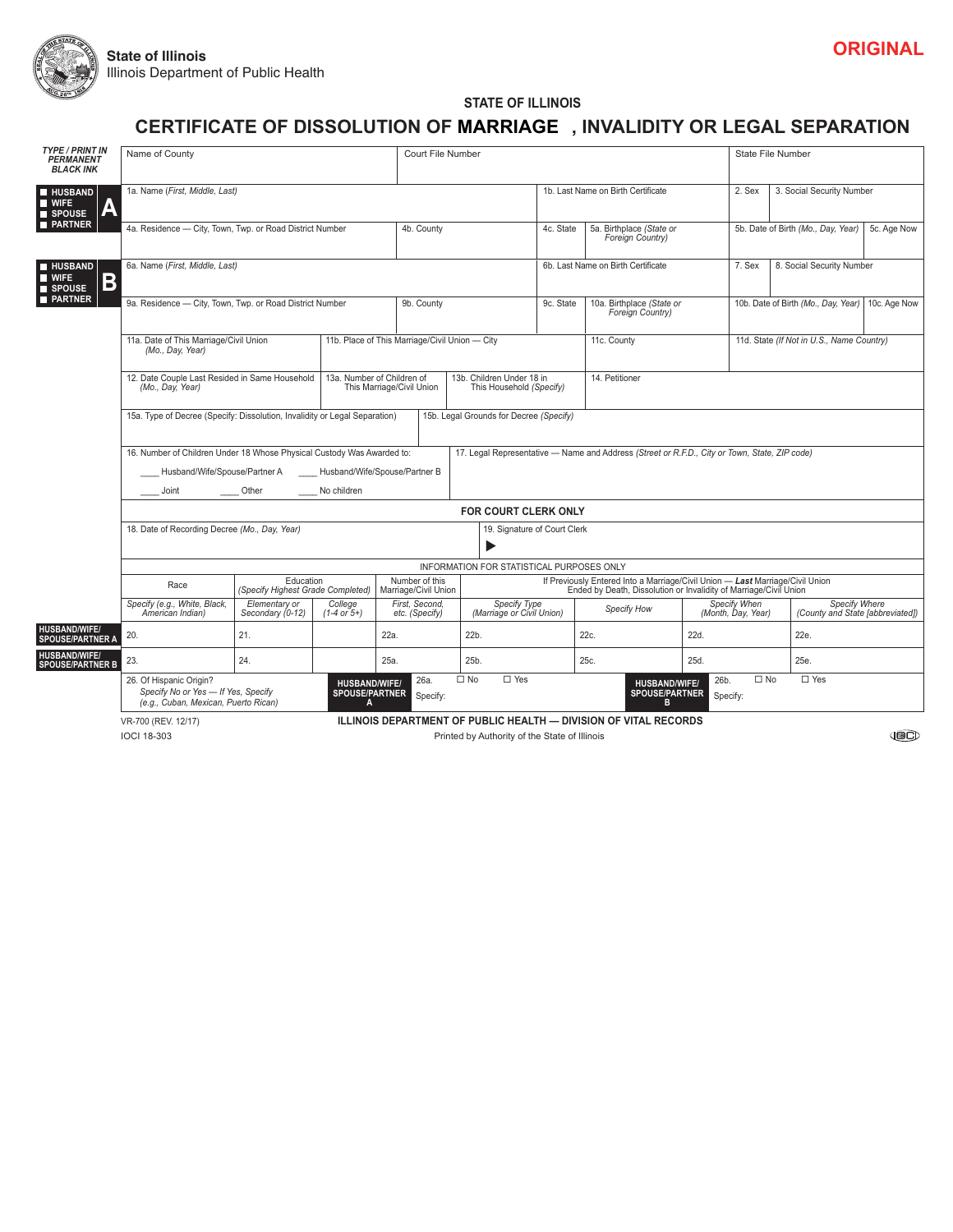

**STATE OF ILLINOIS**

# **CERTIFICATE OF DISSOLUTION OF MARRIAGE ,INVALIDITY OR LEGAL SEPARATION**

| <b>TYPE / PRINT IN</b><br><b>PERMANENT</b><br><b>BLACK INK</b> | Name of County                                                                                                                                                                              |                                                                                          |                                                    |                                  | Court File Number                                                                             |                                                                                                                                                    |                                              |                  |                                                                                         | <b>State File Number</b>           |             |  |  |
|----------------------------------------------------------------|---------------------------------------------------------------------------------------------------------------------------------------------------------------------------------------------|------------------------------------------------------------------------------------------|----------------------------------------------------|----------------------------------|-----------------------------------------------------------------------------------------------|----------------------------------------------------------------------------------------------------------------------------------------------------|----------------------------------------------|------------------|-----------------------------------------------------------------------------------------|------------------------------------|-------------|--|--|
| <b>HUSBAND</b><br>$\blacksquare$ WIFE<br>SPOUSE                | 1a. Name (First, Middle, Last)<br>4a. Residence - City, Town, Twp. or Road District Number                                                                                                  |                                                                                          |                                                    |                                  |                                                                                               |                                                                                                                                                    | 1b. Last Name on Birth Certificate           |                  | 2. Sex                                                                                  | 3. Social Security Number          |             |  |  |
| <b>PARTNER</b>                                                 |                                                                                                                                                                                             |                                                                                          |                                                    | 4b. County                       | 4c. State                                                                                     |                                                                                                                                                    | 5a. Birthplace (State or<br>Foreign Country) |                  |                                                                                         | 5b. Date of Birth (Mo., Day, Year) | 5c. Age Now |  |  |
| <b>HUSBAND</b><br><b>NI</b> WIFE<br>B<br>SPOUSE                | 6a. Name (First, Middle, Last)                                                                                                                                                              |                                                                                          |                                                    |                                  |                                                                                               |                                                                                                                                                    | 6b. Last Name on Birth Certificate           |                  | 7. Sex                                                                                  | 8. Social Security Number          |             |  |  |
| <b>PARTNER</b>                                                 | 9a. Residence - City, Town, Twp. or Road District Number                                                                                                                                    | 9b. County                                                                               |                                                    | 9c. State                        | 10a. Birthplace (State or<br>Foreign Country)                                                 | 10b. Date of Birth (Mo., Day, Year)   10c. Age Now                                                                                                 |                                              |                  |                                                                                         |                                    |             |  |  |
|                                                                | 11a. Date of This Marriage/Civil Union<br>(Mo., Day, Year)<br>12. Date Couple Last Resided in Same Household<br>13a. Number of Children of<br>(Mo., Day, Year)<br>This Marriage/Civil Union |                                                                                          |                                                    |                                  | 11b. Place of This Marriage/Civil Union - City<br>11c. County                                 |                                                                                                                                                    |                                              |                  | 11d. State (If Not in U.S., Name Country)                                               |                                    |             |  |  |
|                                                                |                                                                                                                                                                                             |                                                                                          |                                                    |                                  | 13b. Children Under 18 in<br>14. Petitioner<br>This Household (Specify)                       |                                                                                                                                                    |                                              |                  | $\blacktriangledown$                                                                    |                                    |             |  |  |
|                                                                | 15a. Type of Decree (Specify: Dissolution, Invalidity or Legal Separation)                                                                                                                  |                                                                                          |                                                    | $\blacktriangledown$             | 15b. Legal Grounds for Decree (Specify)                                                       |                                                                                                                                                    |                                              |                  |                                                                                         |                                    |             |  |  |
|                                                                | 16. Number of Children Under 18 Whose Physical Custody Was Awarded to:<br>Husband/Wife/Spouse/Partner A<br>Husband/Wife/Spouse/Partner B<br>Other<br>No children<br>Joint                   |                                                                                          |                                                    |                                  | 17. Legal Representative - Name and Address (Street or R.F.D., City or Town, State, ZIP code) |                                                                                                                                                    |                                              |                  |                                                                                         |                                    |             |  |  |
|                                                                |                                                                                                                                                                                             |                                                                                          | <b>FOR COURT CLERK ONLY</b>                        |                                  |                                                                                               |                                                                                                                                                    |                                              |                  |                                                                                         |                                    |             |  |  |
|                                                                | 18. Date of Recording Decree (Mo., Day, Year)<br>19. Signature of Court Clerk<br>ь                                                                                                          |                                                                                          |                                                    |                                  |                                                                                               |                                                                                                                                                    |                                              |                  |                                                                                         |                                    |             |  |  |
|                                                                | INFORMATION FOR STATISTICAL PURPOSES ONLY                                                                                                                                                   |                                                                                          |                                                    |                                  |                                                                                               |                                                                                                                                                    |                                              |                  |                                                                                         |                                    |             |  |  |
|                                                                | Race                                                                                                                                                                                        | Education<br>Number of this<br>(Specify Highest Grade Completed)<br>Marriage/Civil Union |                                                    |                                  |                                                                                               | If Previously Entered Into a Marriage/Civil Union - Last Marriage/Civil Union<br>Ended by Death, Dissolution or Invalidity of Marriage/Civil Union |                                              |                  |                                                                                         |                                    |             |  |  |
|                                                                | Specify (e.g., White, Black,<br>American Indian)                                                                                                                                            | Elementary or<br>Secondary (0-12)                                                        | College<br>$(1-4 \text{ or } 5+)$                  | First. Second.<br>etc. (Specify) | Specify Type<br>(Marriage or Civil Union)                                                     | Specify How                                                                                                                                        |                                              |                  | Specify When<br>Specify Where<br>(Month, Day, Year)<br>(County and State [abbreviated]) |                                    |             |  |  |
| <b>HUSBAND/WIFE/</b><br><b>SPOUSE/PARTNER A</b>                | 20.                                                                                                                                                                                         | 21.                                                                                      |                                                    | 22a.                             | 22b.                                                                                          |                                                                                                                                                    | 22c.                                         | 22d.             |                                                                                         | 22e.                               |             |  |  |
| <b>HUSBAND/WIFE/</b><br><b>SPOUSE/PARTNER B</b>                | 23.                                                                                                                                                                                         | 24.                                                                                      |                                                    | 25a.                             | 25b.                                                                                          |                                                                                                                                                    | 25c.                                         | 25d.             |                                                                                         | 25e.                               |             |  |  |
|                                                                | 26. Of Hispanic Origin?<br>Specify No or Yes - If Yes, Specify<br>(e.g., Cuban, Mexican, Puerto Rican)                                                                                      |                                                                                          | <b>HUSBAND/WIFE/</b><br><b>SPOUSE/PARTNER</b><br>А | 26a.<br>Specify:                 | $\square$ Yes<br>$\square$ No                                                                 |                                                                                                                                                    | <b>HUSBAND/WIFE/</b><br>SPOUSE/PARTNER<br>R  | 26b.<br>Specify: | $\square$ No                                                                            | $\Box$ Yes                         |             |  |  |
|                                                                | <b>ILLINOIS DEPARTMENT OF PUBLIC HEALTH - DIVISION OF VITAL RECORDS</b><br>VR-700 (REV. 12/17)                                                                                              |                                                                                          |                                                    |                                  |                                                                                               |                                                                                                                                                    |                                              |                  |                                                                                         |                                    |             |  |  |

IOCI 18-303 Printed by Authority of the State of Illinois

 $\bigoplus$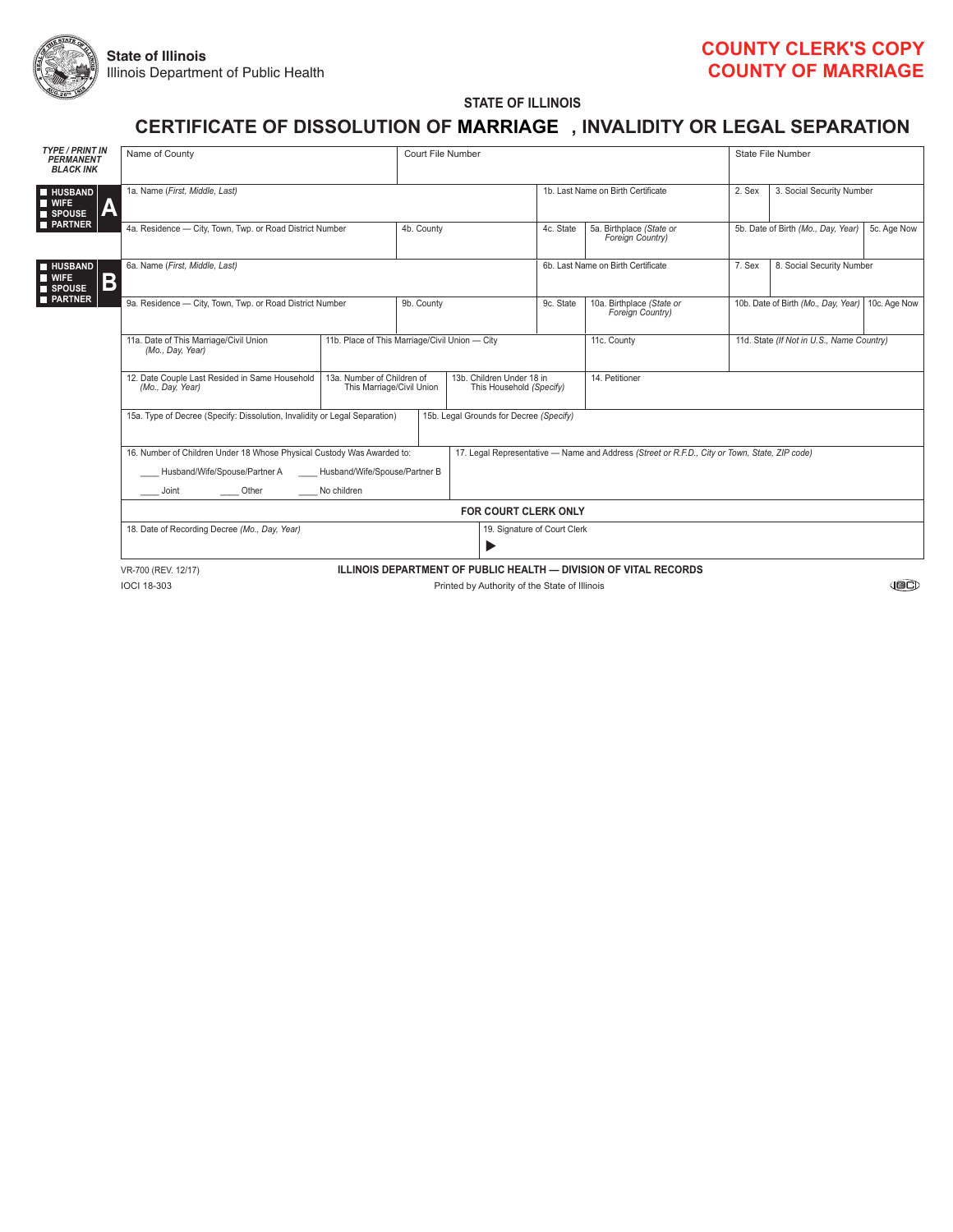

#### **COUNTy CLERK'S COPy COUNTy OF MARRIAGE**

**STATE OF ILLINOIS**

## **CERTIFICATE OF DISSOLUTION OF , INVALIDITy OR LEGAL SEPARATION MARRIAGE**

| <b>TYPE / PRINT IN</b><br><b>PERMANENT</b><br><b>BLACK INK</b>   | Name of County                                                                                                                                                                                             | Court File Number                                       |                                                       |                                                                                               | State File Number                             |                                           |        |                           |  |  |  |
|------------------------------------------------------------------|------------------------------------------------------------------------------------------------------------------------------------------------------------------------------------------------------------|---------------------------------------------------------|-------------------------------------------------------|-----------------------------------------------------------------------------------------------|-----------------------------------------------|-------------------------------------------|--------|---------------------------|--|--|--|
| <b>HUSBAND</b><br><b>NIFE</b><br>Α<br><b>SPOUSE</b>              | 1a. Name (First, Middle, Last)                                                                                                                                                                             |                                                         |                                                       |                                                                                               | 1b. Last Name on Birth Certificate            |                                           | 2. Sex | 3. Social Security Number |  |  |  |
| <b>PARTNER</b>                                                   | 4a. Residence - City, Town, Twp. or Road District Number                                                                                                                                                   | 4b. County                                              |                                                       | 4c. State                                                                                     | 5a. Birthplace (State or<br>Foreign Country)  | 5b. Date of Birth (Mo., Day, Year)        |        | 5c. Age Now               |  |  |  |
| <b>HUSBAND</b><br><b>N</b> WIFE<br>B<br>SPOUSE<br><b>PARTNER</b> | 6a. Name (First, Middle, Last)                                                                                                                                                                             |                                                         |                                                       | 6b. Last Name on Birth Certificate                                                            | 7. Sex                                        | 8. Social Security Number                 |        |                           |  |  |  |
|                                                                  | 9a. Residence - City, Town, Twp. or Road District Number                                                                                                                                                   | 9b. County                                              |                                                       | 9c. State                                                                                     | 10a. Birthplace (State or<br>Foreign Country) | 10b. Date of Birth (Mo., Day, Year)       |        | 10c. Age Now              |  |  |  |
|                                                                  | 11a. Date of This Marriage/Civil Union<br>(Mo., Day, Year)                                                                                                                                                 | 11b. Place of This Marriage/Civil Union - City          |                                                       |                                                                                               | 11c. County                                   | 11d. State (If Not in U.S., Name Country) |        |                           |  |  |  |
|                                                                  | 12. Date Couple Last Resided in Same Household<br>(Mo., Day, Year)                                                                                                                                         | 13a. Number of Children of<br>This Marriage/Civil Union | 13b. Children Under 18 in<br>This Household (Specify) | 14. Petitioner                                                                                |                                               |                                           |        |                           |  |  |  |
|                                                                  | 15a. Type of Decree (Specify: Dissolution, Invalidity or Legal Separation)<br>15b. Legal Grounds for Decree (Specify)<br>$\blacktriangledown$                                                              |                                                         |                                                       |                                                                                               |                                               |                                           |        |                           |  |  |  |
|                                                                  | 16. Number of Children Under 18 Whose Physical Custody Was Awarded to:<br>Husband/Wife/Spouse/Partner A<br>Husband/Wife/Spouse/Partner B<br>No children<br>Other<br>$\frac{1}{\sqrt{1-\frac{1}{2}}}$ Joint |                                                         |                                                       | 17. Legal Representative - Name and Address (Street or R.F.D., City or Town, State, ZIP code) |                                               |                                           |        |                           |  |  |  |
|                                                                  | <b>FOR COURT CLERK ONLY</b>                                                                                                                                                                                |                                                         |                                                       |                                                                                               |                                               |                                           |        |                           |  |  |  |
|                                                                  | 18. Date of Recording Decree (Mo., Day, Year)                                                                                                                                                              |                                                         |                                                       |                                                                                               | 19. Signature of Court Clerk<br>▶             |                                           |        |                           |  |  |  |
|                                                                  | ILLINOIS DEPARTMENT OF PUBLIC HEALTH - DIVISION OF VITAL RECORDS<br>VR-700 (REV. 12/17)                                                                                                                    |                                                         |                                                       |                                                                                               |                                               |                                           |        |                           |  |  |  |
|                                                                  | <b>IOCI 18-303</b><br>Printed by Authority of the State of Illinois                                                                                                                                        |                                                         |                                                       |                                                                                               |                                               |                                           |        |                           |  |  |  |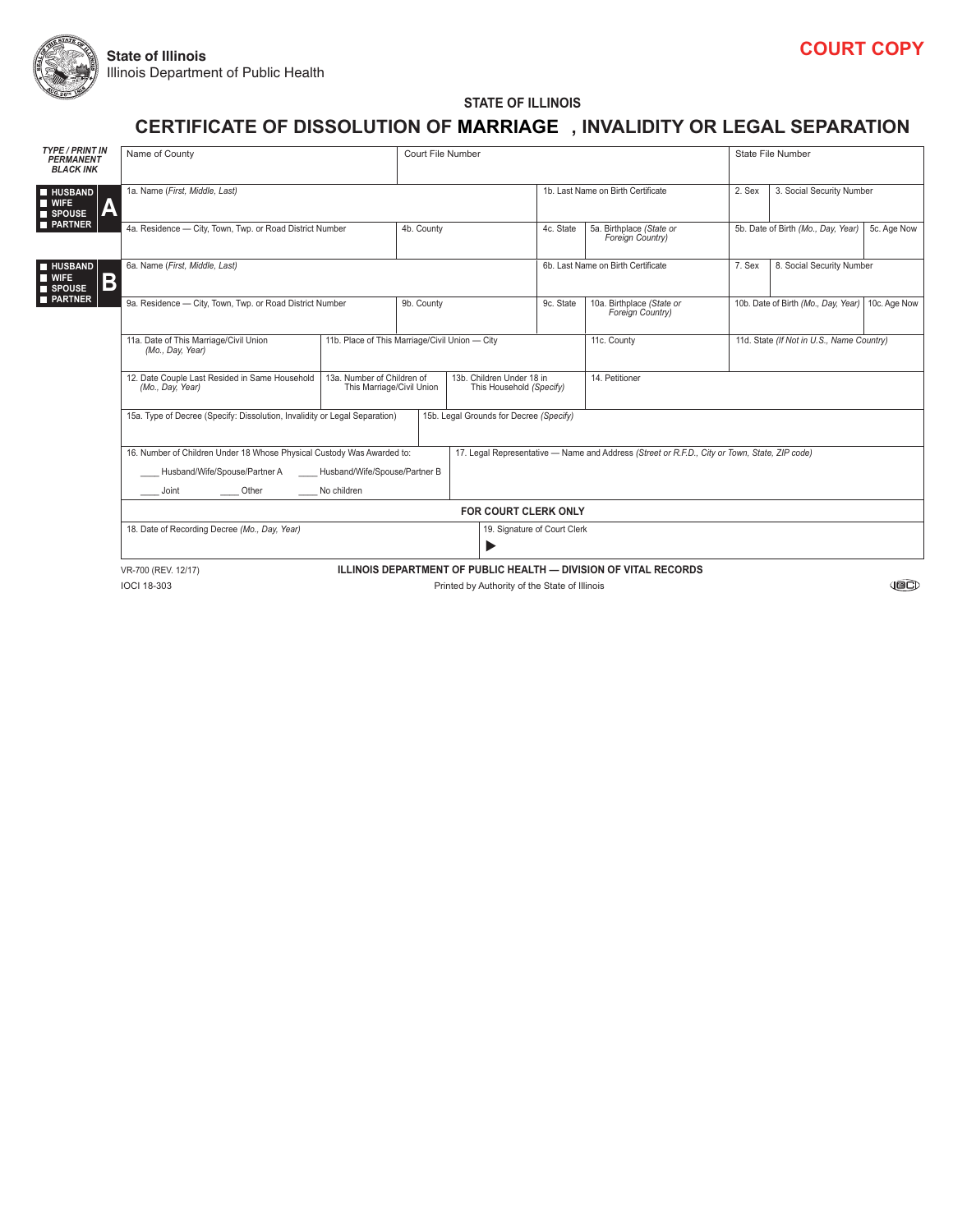

**STATE OF ILLINOIS**

## **CERTIFICATE OF DISSOLUTION OF , INVALIDITy OR LEGAL SEPARATION MARRIAGE**

| <b>TYPE / PRINT IN</b><br><b>PERMANENT</b><br><b>BLACK INK</b> | Name of County                                                                                                                                |                                                                                                                                |                              | Court File Number                  |                                                          | State File Number                                |                                                   |                           |  |  |  |
|----------------------------------------------------------------|-----------------------------------------------------------------------------------------------------------------------------------------------|--------------------------------------------------------------------------------------------------------------------------------|------------------------------|------------------------------------|----------------------------------------------------------|--------------------------------------------------|---------------------------------------------------|---------------------------|--|--|--|
| <b>HUSBAND</b><br><b>WIFE</b><br>A<br>SPOUSE                   | 1a. Name (First, Middle, Last)                                                                                                                |                                                                                                                                |                              | 1b. Last Name on Birth Certificate |                                                          | 2. Sex                                           | 3. Social Security Number                         |                           |  |  |  |
| <b>PARTNER</b>                                                 | 4a. Residence - City, Town, Twp. or Road District Number                                                                                      | 4b. County                                                                                                                     |                              | 4c. State                          | 5a. Birthplace (State or<br>Foreign Country)             |                                                  | 5b. Date of Birth (Mo., Day, Year)<br>5c. Age Now |                           |  |  |  |
| <b>HUSBAND</b><br><b>NI</b> WIFE<br>Β<br><b>SPOUSE</b>         | 6a. Name (First, Middle, Last)                                                                                                                |                                                                                                                                |                              |                                    | 6b. Last Name on Birth Certificate                       |                                                  | 7. Sex                                            | 8. Social Security Number |  |  |  |
| <b>PARTNER</b>                                                 | 9a. Residence - City, Town, Twp. or Road District Number                                                                                      | 9b. County                                                                                                                     |                              | 9c. State                          | 10a. Birthplace (State or<br>Foreign Country)            | 10b. Date of Birth (Mo., Day, Year) 10c. Age Now |                                                   |                           |  |  |  |
|                                                                | 11a. Date of This Marriage/Civil Union<br>(Mo., Day, Year)                                                                                    | 11b. Place of This Marriage/Civil Union - City                                                                                 |                              |                                    | 11d. State (If Not in U.S., Name Country)<br>11c. County |                                                  |                                                   |                           |  |  |  |
|                                                                | 12. Date Couple Last Resided in Same Household<br>(Mo., Day, Year)                                                                            | 13a. Number of Children of<br>13b. Children Under 18 in<br>This Marriage/Civil Union<br>This Household (Specify)               |                              | 14. Petitioner                     |                                                          |                                                  |                                                   |                           |  |  |  |
|                                                                | 15a. Type of Decree (Specify: Dissolution, Invalidity or Legal Separation)<br>15b. Legal Grounds for Decree (Specify)<br>$\blacktriangledown$ |                                                                                                                                |                              |                                    |                                                          |                                                  |                                                   |                           |  |  |  |
|                                                                | 16. Number of Children Under 18 Whose Physical Custody Was Awarded to:<br>Husband/Wife/Spouse/Partner A                                       | 17. Legal Representative - Name and Address (Street or R.F.D., City or Town, State, ZIP code)<br>Husband/Wife/Spouse/Partner B |                              |                                    |                                                          |                                                  |                                                   |                           |  |  |  |
|                                                                | No children<br>$\frac{1}{\sqrt{1-\frac{1}{2}}}$ Joint<br>$f$ Other                                                                            |                                                                                                                                |                              |                                    |                                                          |                                                  |                                                   |                           |  |  |  |
|                                                                | FOR COURT CLERK ONLY                                                                                                                          |                                                                                                                                |                              |                                    |                                                          |                                                  |                                                   |                           |  |  |  |
|                                                                | 18. Date of Recording Decree (Mo., Day, Year)                                                                                                 | ▶                                                                                                                              | 19. Signature of Court Clerk |                                    |                                                          |                                                  |                                                   |                           |  |  |  |
|                                                                | ILLINOIS DEPARTMENT OF PUBLIC HEALTH - DIVISION OF VITAL RECORDS<br>VR-700 (REV. 12/17)                                                       |                                                                                                                                |                              |                                    |                                                          |                                                  |                                                   |                           |  |  |  |
|                                                                | <b>IOCI 18-303</b><br>Printed by Authority of the State of Illinois                                                                           |                                                                                                                                |                              |                                    |                                                          |                                                  |                                                   |                           |  |  |  |